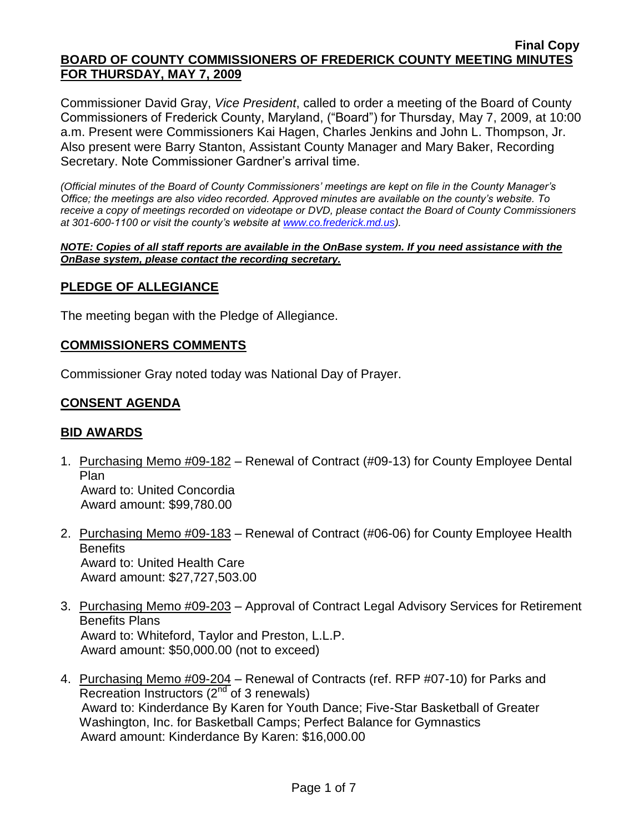Commissioner David Gray, *Vice President*, called to order a meeting of the Board of County Commissioners of Frederick County, Maryland, ("Board") for Thursday, May 7, 2009, at 10:00 a.m. Present were Commissioners Kai Hagen, Charles Jenkins and John L. Thompson, Jr. Also present were Barry Stanton, Assistant County Manager and Mary Baker, Recording Secretary. Note Commissioner Gardner's arrival time.

*(Official minutes of the Board of County Commissioners' meetings are kept on file in the County Manager's Office; the meetings are also video recorded. Approved minutes are available on the county's website. To receive a copy of meetings recorded on videotape or DVD, please contact the Board of County Commissioners at 301-600-1100 or visit the county's website at [www.co.frederick.md.us\)](http://www.co.frederick.md.us/).*

#### *NOTE: Copies of all staff reports are available in the OnBase system. If you need assistance with the OnBase system, please contact the recording secretary.*

## **PLEDGE OF ALLEGIANCE**

The meeting began with the Pledge of Allegiance.

#### **COMMISSIONERS COMMENTS**

Commissioner Gray noted today was National Day of Prayer.

## **CONSENT AGENDA**

### **BID AWARDS**

- 1. Purchasing Memo #09-182 Renewal of Contract (#09-13) for County Employee Dental Plan Award to: United Concordia Award amount: \$99,780.00
- 2. Purchasing Memo #09-183 Renewal of Contract (#06-06) for County Employee Health **Benefits**  Award to: United Health Care Award amount: \$27,727,503.00
- 3. Purchasing Memo #09-203 Approval of Contract Legal Advisory Services for Retirement Benefits Plans Award to: Whiteford, Taylor and Preston, L.L.P. Award amount: \$50,000.00 (not to exceed)
- 4. Purchasing Memo #09-204 Renewal of Contracts (ref. RFP #07-10) for Parks and Recreation Instructors  $(2^{nd}$  of 3 renewals) Award to: Kinderdance By Karen for Youth Dance; Five-Star Basketball of Greater Washington, Inc. for Basketball Camps; Perfect Balance for Gymnastics Award amount: Kinderdance By Karen: \$16,000.00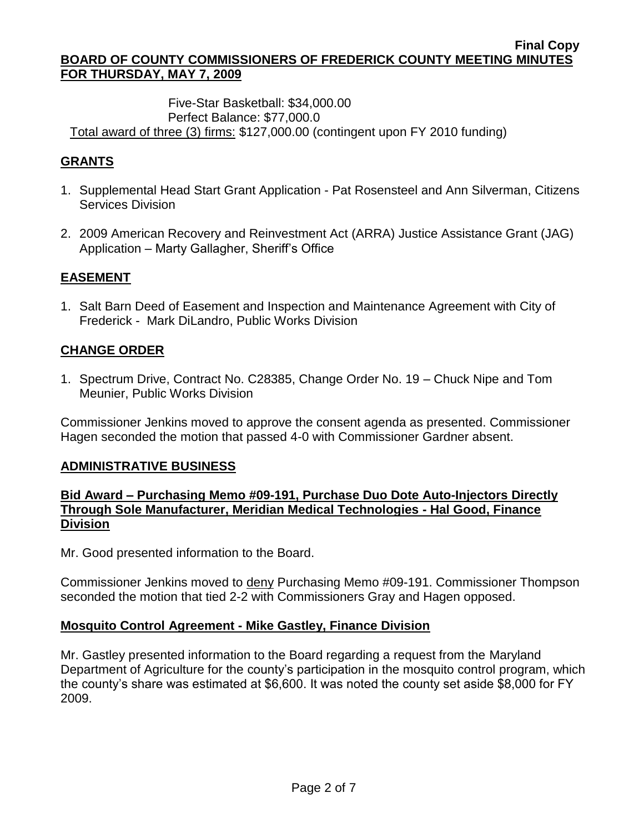### Five-Star Basketball: \$34,000.00 Perfect Balance: \$77,000.0 Total award of three (3) firms: \$127,000.00 (contingent upon FY 2010 funding)

# **GRANTS**

- 1. Supplemental Head Start Grant Application Pat Rosensteel and Ann Silverman, Citizens Services Division
- 2. 2009 American Recovery and Reinvestment Act (ARRA) Justice Assistance Grant (JAG) Application – Marty Gallagher, Sheriff's Office

# **EASEMENT**

1. Salt Barn Deed of Easement and Inspection and Maintenance Agreement with City of Frederick - Mark DiLandro, Public Works Division

# **CHANGE ORDER**

1. Spectrum Drive, Contract No. C28385, Change Order No. 19 – Chuck Nipe and Tom Meunier, Public Works Division

Commissioner Jenkins moved to approve the consent agenda as presented. Commissioner Hagen seconded the motion that passed 4-0 with Commissioner Gardner absent.

# **ADMINISTRATIVE BUSINESS**

## **Bid Award – Purchasing Memo #09-191, Purchase Duo Dote Auto-Injectors Directly Through Sole Manufacturer, Meridian Medical Technologies - Hal Good, Finance Division**

Mr. Good presented information to the Board.

Commissioner Jenkins moved to deny Purchasing Memo #09-191. Commissioner Thompson seconded the motion that tied 2-2 with Commissioners Gray and Hagen opposed.

### **Mosquito Control Agreement - Mike Gastley, Finance Division**

Mr. Gastley presented information to the Board regarding a request from the Maryland Department of Agriculture for the county's participation in the mosquito control program, which the county's share was estimated at \$6,600. It was noted the county set aside \$8,000 for FY 2009.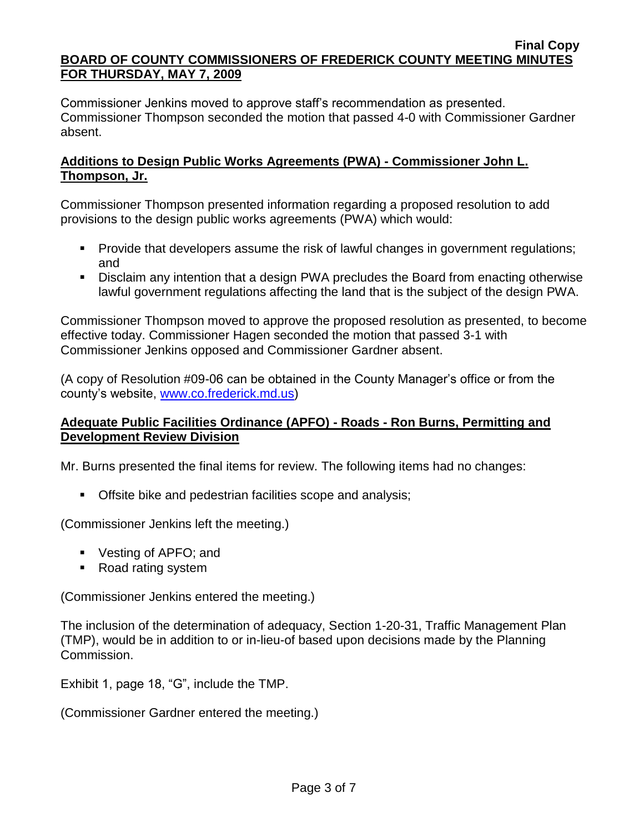Commissioner Jenkins moved to approve staff's recommendation as presented. Commissioner Thompson seconded the motion that passed 4-0 with Commissioner Gardner absent.

## **Additions to Design Public Works Agreements (PWA) - Commissioner John L. Thompson, Jr.**

Commissioner Thompson presented information regarding a proposed resolution to add provisions to the design public works agreements (PWA) which would:

- **Provide that developers assume the risk of lawful changes in government regulations;** and
- Disclaim any intention that a design PWA precludes the Board from enacting otherwise lawful government regulations affecting the land that is the subject of the design PWA.

Commissioner Thompson moved to approve the proposed resolution as presented, to become effective today. Commissioner Hagen seconded the motion that passed 3-1 with Commissioner Jenkins opposed and Commissioner Gardner absent.

(A copy of Resolution #09-06 can be obtained in the County Manager's office or from the county's website, [www.co.frederick.md.us\)](www.co.frederick.md.us)

# **Adequate Public Facilities Ordinance (APFO) - Roads - Ron Burns, Permitting and Development Review Division**

Mr. Burns presented the final items for review. The following items had no changes:

**Offsite bike and pedestrian facilities scope and analysis;** 

(Commissioner Jenkins left the meeting.)

- Vesting of APFO; and
- Road rating system

(Commissioner Jenkins entered the meeting.)

The inclusion of the determination of adequacy, Section 1-20-31, Traffic Management Plan (TMP), would be in addition to or in-lieu-of based upon decisions made by the Planning Commission.

Exhibit 1, page 18, "G", include the TMP.

(Commissioner Gardner entered the meeting.)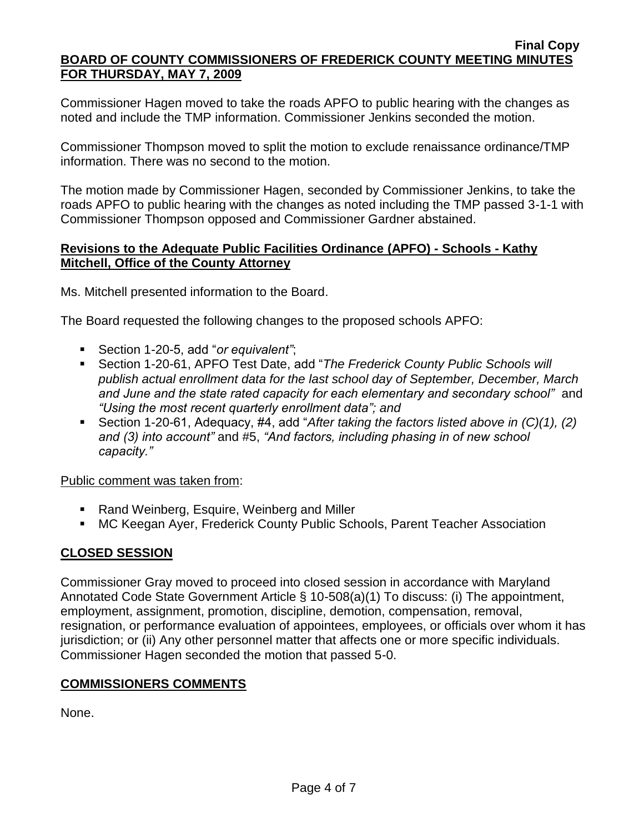Commissioner Hagen moved to take the roads APFO to public hearing with the changes as noted and include the TMP information. Commissioner Jenkins seconded the motion.

Commissioner Thompson moved to split the motion to exclude renaissance ordinance/TMP information. There was no second to the motion.

The motion made by Commissioner Hagen, seconded by Commissioner Jenkins, to take the roads APFO to public hearing with the changes as noted including the TMP passed 3-1-1 with Commissioner Thompson opposed and Commissioner Gardner abstained.

## **Revisions to the Adequate Public Facilities Ordinance (APFO) - Schools - Kathy Mitchell, Office of the County Attorney**

Ms. Mitchell presented information to the Board.

The Board requested the following changes to the proposed schools APFO:

- Section 1-20-5, add "*or equivalent"*;
- Section 1-20-61, APFO Test Date, add "*The Frederick County Public Schools will publish actual enrollment data for the last school day of September, December, March and June and the state rated capacity for each elementary and secondary school"* and *"Using the most recent quarterly enrollment data"; and*
- Section 1-20-61, Adequacy, #4, add "*After taking the factors listed above in (C)(1), (2) and (3) into account"* and #5, *"And factors, including phasing in of new school capacity."*

Public comment was taken from:

- Rand Weinberg, Esquire, Weinberg and Miller
- MC Keegan Ayer, Frederick County Public Schools, Parent Teacher Association

# **CLOSED SESSION**

Commissioner Gray moved to proceed into closed session in accordance with Maryland Annotated Code State Government Article § 10-508(a)(1) To discuss: (i) The appointment, employment, assignment, promotion, discipline, demotion, compensation, removal, resignation, or performance evaluation of appointees, employees, or officials over whom it has jurisdiction; or (ii) Any other personnel matter that affects one or more specific individuals. Commissioner Hagen seconded the motion that passed 5-0.

### **COMMISSIONERS COMMENTS**

None.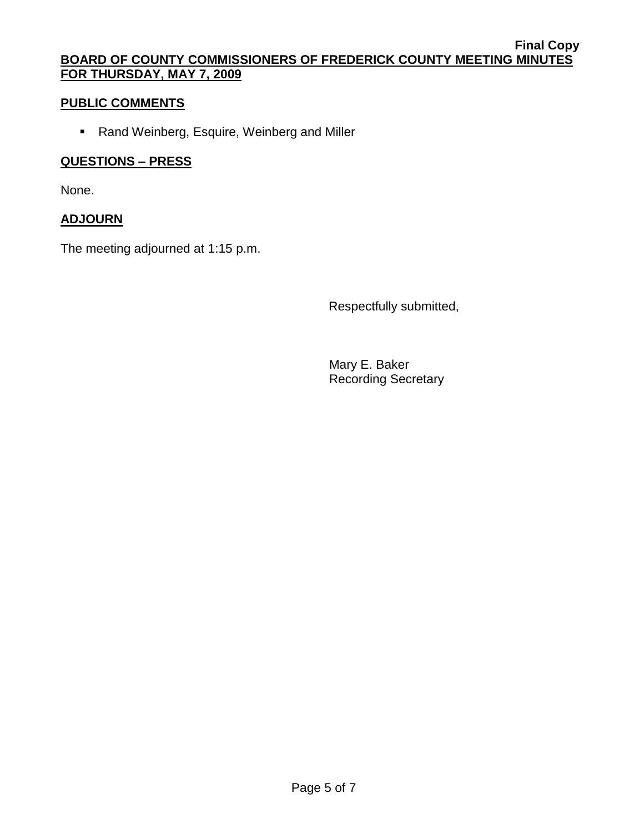# **PUBLIC COMMENTS**

Rand Weinberg, Esquire, Weinberg and Miller

## **QUESTIONS – PRESS**

None.

## **ADJOURN**

The meeting adjourned at 1:15 p.m.

Respectfully submitted,

Mary E. Baker Recording Secretary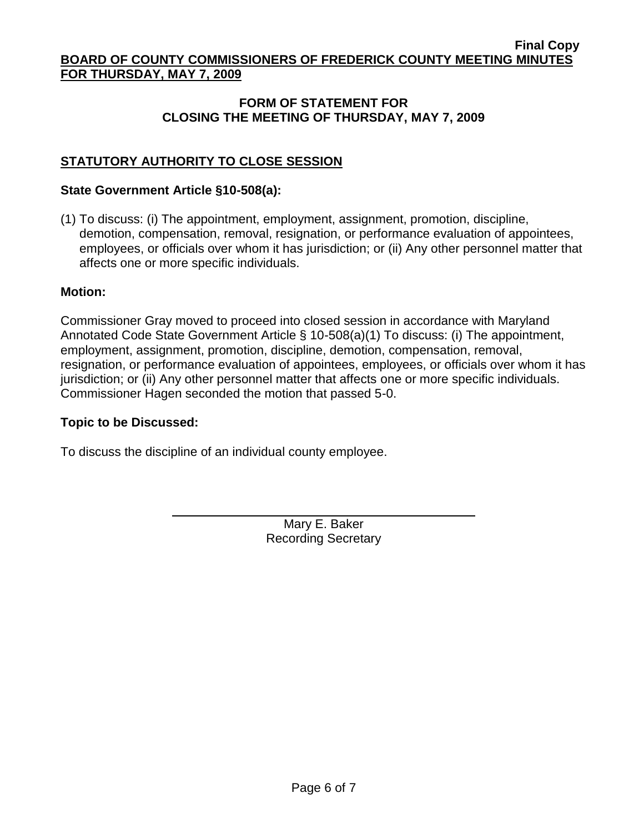# **FORM OF STATEMENT FOR CLOSING THE MEETING OF THURSDAY, MAY 7, 2009**

# **STATUTORY AUTHORITY TO CLOSE SESSION**

### **State Government Article §10-508(a):**

(1) To discuss: (i) The appointment, employment, assignment, promotion, discipline, demotion, compensation, removal, resignation, or performance evaluation of appointees, employees, or officials over whom it has jurisdiction; or (ii) Any other personnel matter that affects one or more specific individuals.

#### **Motion:**

Commissioner Gray moved to proceed into closed session in accordance with Maryland Annotated Code State Government Article § 10-508(a)(1) To discuss: (i) The appointment, employment, assignment, promotion, discipline, demotion, compensation, removal, resignation, or performance evaluation of appointees, employees, or officials over whom it has jurisdiction; or (ii) Any other personnel matter that affects one or more specific individuals. Commissioner Hagen seconded the motion that passed 5-0.

### **Topic to be Discussed:**

To discuss the discipline of an individual county employee.

Mary E. Baker Recording Secretary